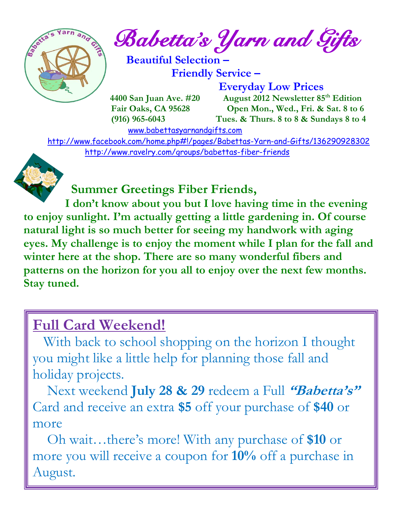

*Babetta's Yarn and Gifts* 

 **Beautiful Selection – Friendly Service –**

 **Everyday Low Prices**

 **4400 San Juan Ave. #20** August 2012 Newsletter 85<sup>th</sup> Edition  **Fair Oaks, CA 95628 Open Mon., Wed., Fri. & Sat. 8 to 6 (916) 965-6043 Tues. & Thurs. 8 to 8 & Sundays 8 to 4** 

[www.babettasyarnandgifts.com](http://www.babettasyarnandgifts.com/)

 <http://www.facebook.com/home.php#!/pages/Babettas-Yarn-and-Gifts/136290928302> <http://www.ravelry.com/groups/babettas-fiber-friends>



## **Summer Greetings Fiber Friends,**

 **I don't know about you but I love having time in the evening to enjoy sunlight. I'm actually getting a little gardening in. Of course natural light is so much better for seeing my handwork with aging eyes. My challenge is to enjoy the moment while I plan for the fall and winter here at the shop. There are so many wonderful fibers and patterns on the horizon for you all to enjoy over the next few months. Stay tuned.** 

# **Full Card Weekend!**

 With back to school shopping on the horizon I thought you might like a little help for planning those fall and holiday projects.

 Next weekend **July 28 & 29** redeem a Full **"Babetta's"** Card and receive an extra **\$5** off your purchase of **\$40** or more

 Oh wait…there's more! With any purchase of **\$10** or more you will receive a coupon for **10%** off a purchase in August.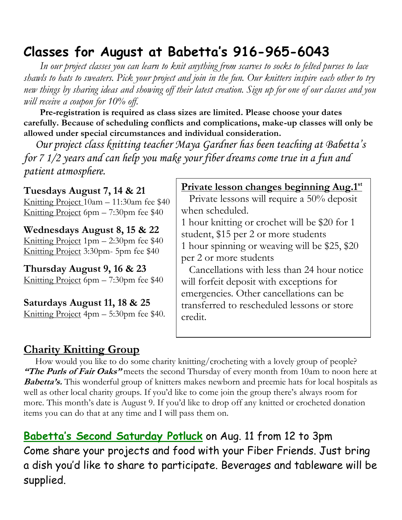## **Classes for August at Babetta's 916-965-6043**

 *In our project classes you can learn to knit anything from scarves to socks to felted purses to lace shawls to hats to sweaters. Pick your project and join in the fun. Our knitters inspire each other to try new things by sharing ideas and showing off their latest creation. Sign up for one of our classes and you will receive a coupon for 10% off.*

 **Pre-registration is required as class sizes are limited. Please choose your dates carefully. Because of scheduling conflicts and complications, make-up classes will only be allowed under special circumstances and individual consideration.**

*Our project class knitting teacher Maya Gardner has been teaching at Babetta's for 7 1/2 years and can help you make your fiber dreams come true in a fun and patient atmosphere.*

**Tuesdays August 7, 14 & 21** Knitting Project 10am – 11:30am fee \$40 Knitting Project 6pm – 7:30pm fee \$40

**Wednesdays August 8, 15 & 22** Knitting Project 1pm – 2:30pm fee \$40 Knitting Project 3:30pm- 5pm fee \$40

**Thursday August 9, 16 & 23** Knitting Project 6pm – 7:30pm fee \$40

**Saturdays August 11, 18 & 25** Knitting Project 4pm – 5:30pm fee \$40.

#### **Private lesson changes beginning Aug.1 st**

 Private lessons will require a 50% deposit when scheduled.

1 hour knitting or crochet will be \$20 for 1 student, \$15 per 2 or more students

1 hour spinning or weaving will be \$25, \$20 per 2 or more students

 Cancellations with less than 24 hour notice will forfeit deposit with exceptions for emergencies. Other cancellations can be transferred to rescheduled lessons or store credit.

### **Charity Knitting Group**

 How would you like to do some charity knitting/crocheting with a lovely group of people? **"The Purls of Fair Oaks"** meets the second Thursday of every month from 10am to noon here at **Babetta's.** This wonderful group of knitters makes newborn and preemie hats for local hospitals as well as other local charity groups. If you'd like to come join the group there's always room for more. This month's date is August 9. If you'd like to drop off any knitted or crocheted donation items you can do that at any time and I will pass them on.

**Babetta's Second Saturday Potluck** on Aug. 11 from 12 to 3pm Come share your projects and food with your Fiber Friends. Just bring a dish you'd like to share to participate. Beverages and tableware will be supplied.